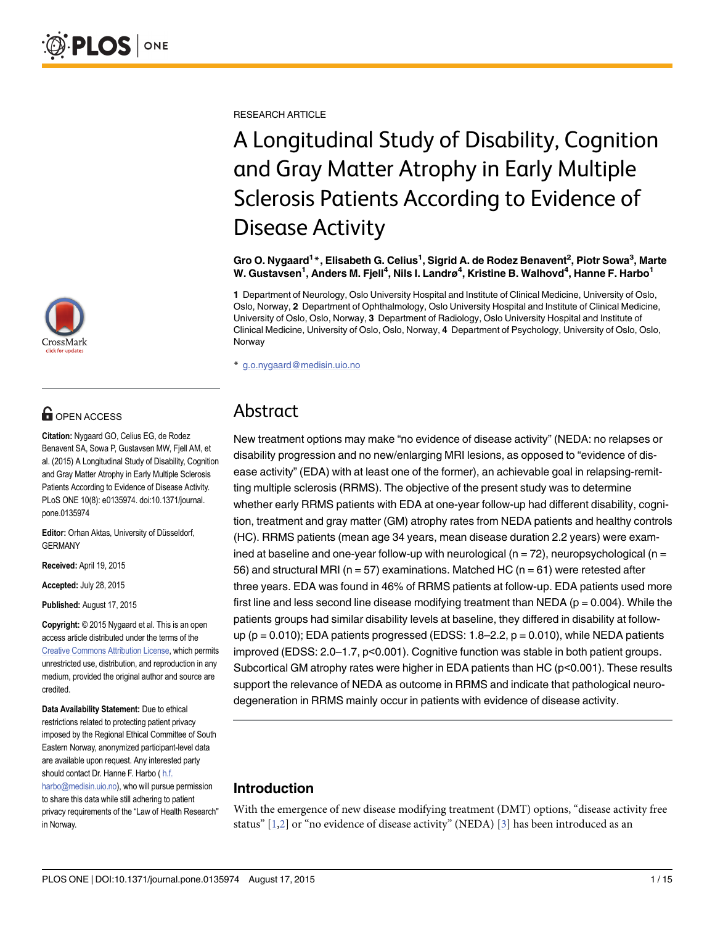

# **OPEN ACCESS**

Citation: Nygaard GO, Celius EG, de Rodez Benavent SA, Sowa P, Gustavsen MW, Fjell AM, et al. (2015) A Longitudinal Study of Disability, Cognition and Gray Matter Atrophy in Early Multiple Sclerosis Patients According to Evidence of Disease Activity. PLoS ONE 10(8): e0135974. doi:10.1371/journal. pone.0135974

Editor: Orhan Aktas, University of Düsseldorf, GERMANY

Received: April 19, 2015

Accepted: July 28, 2015

Published: August 17, 2015

Copyright: © 2015 Nygaard et al. This is an open access article distributed under the terms of the [Creative Commons Attribution License,](http://creativecommons.org/licenses/by/4.0/) which permits unrestricted use, distribution, and reproduction in any medium, provided the original author and source are credited.

Data Availability Statement: Due to ethical restrictions related to protecting patient privacy imposed by the Regional Ethical Committee of South Eastern Norway, anonymized participant-level data are available upon request. Any interested party should contact Dr. Hanne F. Harbo (h.f. harbo@medisin.uio.no), who will pursue permission to share this data while still adhering to patient privacy requirements of the "Law of Health Research" in Norway.

<span id="page-0-0"></span>RESEARCH ARTICLE

# A Longitudinal Study of Disability, Cognition and Gray Matter Atrophy in Early Multiple Sclerosis Patients According to Evidence of Disease Activity

Gro O. Nygaard<sup>1</sup>\*, Elisabeth G. Celius<sup>1</sup>, Sigrid A. de Rodez Benavent<sup>2</sup>, Piotr Sowa<sup>3</sup>, Marte W. Gustavsen<sup>1</sup>, Anders M. Fjell<sup>4</sup>, Nils I. Landrø<sup>4</sup>, Kristine B. Walhovd<sup>4</sup>, Hanne F. Harbo<sup>1</sup>

1 Department of Neurology, Oslo University Hospital and Institute of Clinical Medicine, University of Oslo, Oslo, Norway, 2 Department of Ophthalmology, Oslo University Hospital and Institute of Clinical Medicine, University of Oslo, Oslo, Norway, 3 Department of Radiology, Oslo University Hospital and Institute of Clinical Medicine, University of Oslo, Oslo, Norway, 4 Department of Psychology, University of Oslo, Oslo, Norway

\* g.o.nygaard@medisin.uio.no

# Abstract

New treatment options may make "no evidence of disease activity" (NEDA: no relapses or disability progression and no new/enlarging MRI lesions, as opposed to "evidence of disease activity" (EDA) with at least one of the former), an achievable goal in relapsing-remitting multiple sclerosis (RRMS). The objective of the present study was to determine whether early RRMS patients with EDA at one-year follow-up had different disability, cognition, treatment and gray matter (GM) atrophy rates from NEDA patients and healthy controls (HC). RRMS patients (mean age 34 years, mean disease duration 2.2 years) were examined at baseline and one-year follow-up with neurological ( $n = 72$ ), neuropsychological ( $n =$ 56) and structural MRI ( $n = 57$ ) examinations. Matched HC ( $n = 61$ ) were retested after three years. EDA was found in 46% of RRMS patients at follow-up. EDA patients used more first line and less second line disease modifying treatment than NEDA ( $p = 0.004$ ). While the patients groups had similar disability levels at baseline, they differed in disability at followup ( $p = 0.010$ ); EDA patients progressed (EDSS: 1.8–2.2,  $p = 0.010$ ), while NEDA patients improved (EDSS: 2.0–1.7, p<0.001). Cognitive function was stable in both patient groups. Subcortical GM atrophy rates were higher in EDA patients than HC (p<0.001). These results support the relevance of NEDA as outcome in RRMS and indicate that pathological neurodegeneration in RRMS mainly occur in patients with evidence of disease activity.

# Introduction

With the emergence of new disease modifying treatment (DMT) options, "disease activity free status"  $[1,2]$  $[1,2]$  $[1,2]$  $[1,2]$  $[1,2]$  or "no evidence of disease activity" (NEDA)  $[3]$  has been introduced as an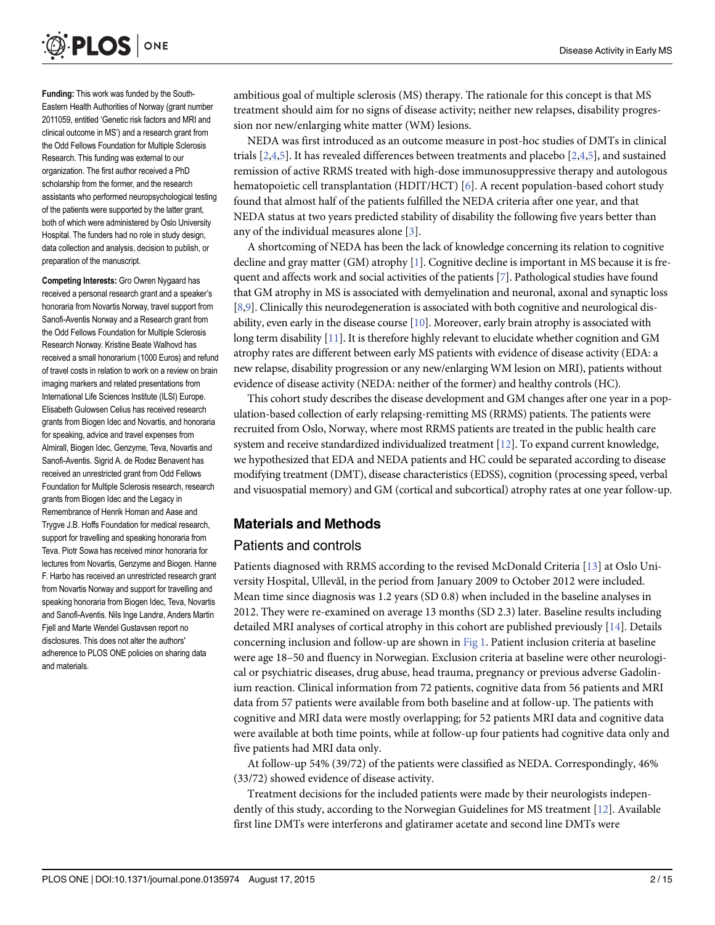<span id="page-1-0"></span>

Funding: This work was funded by the South-Eastern Health Authorities of Norway (grant number 2011059, entitled 'Genetic risk factors and MRI and clinical outcome in MS') and a research grant from the Odd Fellows Foundation for Multiple Sclerosis Research. This funding was external to our organization. The first author received a PhD scholarship from the former, and the research assistants who performed neuropsychological testing of the patients were supported by the latter grant, both of which were administered by Oslo University Hospital. The funders had no role in study design, data collection and analysis, decision to publish, or preparation of the manuscript.

Competing Interests: Gro Owren Nygaard has received a personal research grant and a speaker's honoraria from Novartis Norway, travel support from Sanofi-Aventis Norway and a Research grant from the Odd Fellows Foundation for Multiple Sclerosis Research Norway. Kristine Beate Walhovd has received a small honorarium (1000 Euros) and refund of travel costs in relation to work on a review on brain imaging markers and related presentations from International Life Sciences Institute (ILSI) Europe. Elisabeth Gulowsen Celius has received research grants from Biogen Idec and Novartis, and honoraria for speaking, advice and travel expenses from Almirall, Biogen Idec, Genzyme, Teva, Novartis and Sanofi-Aventis. Sigrid A. de Rodez Benavent has received an unrestricted grant from Odd Fellows Foundation for Multiple Sclerosis research, research grants from Biogen Idec and the Legacy in Remembrance of Henrik Homan and Aase and Trygve J.B. Hoffs Foundation for medical research, support for travelling and speaking honoraria from Teva. Piotr Sowa has received minor honoraria for lectures from Novartis, Genzyme and Biogen. Hanne F. Harbo has received an unrestricted research grant from Novartis Norway and support for travelling and speaking honoraria from Biogen Idec, Teva, Novartis and Sanofi-Aventis. Nils Inge Landrø, Anders Martin Fjell and Marte Wendel Gustavsen report no disclosures. This does not alter the authors' adherence to PLOS ONE policies on sharing data and materials.

ambitious goal of multiple sclerosis (MS) therapy. The rationale for this concept is that MS treatment should aim for no signs of disease activity; neither new relapses, disability progression nor new/enlarging white matter (WM) lesions.

NEDA was first introduced as an outcome measure in post-hoc studies of DMTs in clinical trials [\[2,4,5](#page-12-0)]. It has revealed differences between treatments and placebo [[2](#page-12-0),[4,5](#page-12-0)], and sustained remission of active RRMS treated with high-dose immunosuppressive therapy and autologous hematopoietic cell transplantation (HDIT/HCT) [\[6](#page-12-0)]. A recent population-based cohort study found that almost half of the patients fulfilled the NEDA criteria after one year, and that NEDA status at two years predicted stability of disability the following five years better than any of the individual measures alone  $[3]$  $[3]$ .

A shortcoming of NEDA has been the lack of knowledge concerning its relation to cognitive decline and gray matter (GM) atrophy [[1](#page-12-0)]. Cognitive decline is important in MS because it is frequent and affects work and social activities of the patients [\[7](#page-12-0)]. Pathological studies have found that GM atrophy in MS is associated with demyelination and neuronal, axonal and synaptic loss [\[8,9\]](#page-12-0). Clinically this neurodegeneration is associated with both cognitive and neurological disability, even early in the disease course [\[10\]](#page-12-0). Moreover, early brain atrophy is associated with long term disability [\[11](#page-13-0)]. It is therefore highly relevant to elucidate whether cognition and GM atrophy rates are different between early MS patients with evidence of disease activity (EDA: a new relapse, disability progression or any new/enlarging WM lesion on MRI), patients without evidence of disease activity (NEDA: neither of the former) and healthy controls (HC).

This cohort study describes the disease development and GM changes after one year in a population-based collection of early relapsing-remitting MS (RRMS) patients. The patients were recruited from Oslo, Norway, where most RRMS patients are treated in the public health care system and receive standardized individualized treatment [\[12\]](#page-13-0). To expand current knowledge, we hypothesized that EDA and NEDA patients and HC could be separated according to disease modifying treatment (DMT), disease characteristics (EDSS), cognition (processing speed, verbal and visuospatial memory) and GM (cortical and subcortical) atrophy rates at one year follow-up.

## Materials and Methods

#### Patients and controls

Patients diagnosed with RRMS according to the revised McDonald Criteria [\[13](#page-13-0)] at Oslo University Hospital, Ullevål, in the period from January 2009 to October 2012 were included. Mean time since diagnosis was 1.2 years (SD 0.8) when included in the baseline analyses in 2012. They were re-examined on average 13 months (SD 2.3) later. Baseline results including detailed MRI analyses of cortical atrophy in this cohort are published previously [[14](#page-13-0)]. Details concerning inclusion and follow-up are shown in  $Fig 1$ . Patient inclusion criteria at baseline were age 18–50 and fluency in Norwegian. Exclusion criteria at baseline were other neurological or psychiatric diseases, drug abuse, head trauma, pregnancy or previous adverse Gadolinium reaction. Clinical information from 72 patients, cognitive data from 56 patients and MRI data from 57 patients were available from both baseline and at follow-up. The patients with cognitive and MRI data were mostly overlapping; for 52 patients MRI data and cognitive data were available at both time points, while at follow-up four patients had cognitive data only and five patients had MRI data only.

At follow-up 54% (39/72) of the patients were classified as NEDA. Correspondingly, 46% (33/72) showed evidence of disease activity.

Treatment decisions for the included patients were made by their neurologists independently of this study, according to the Norwegian Guidelines for MS treatment [[12](#page-13-0)]. Available first line DMTs were interferons and glatiramer acetate and second line DMTs were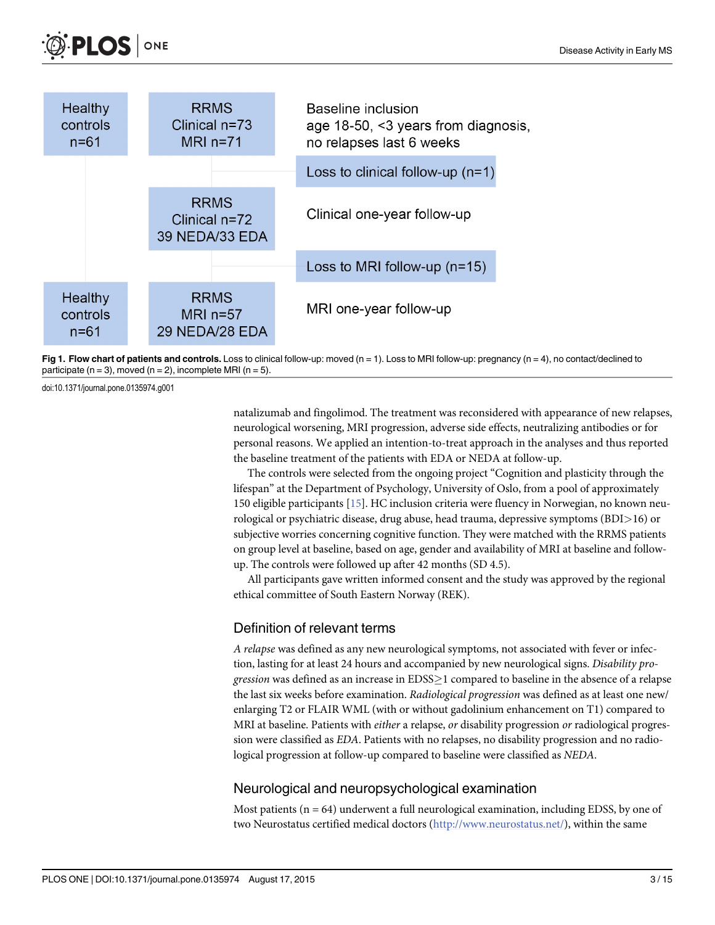<span id="page-2-0"></span>



[Fig 1. F](#page-1-0)low chart of patients and controls. Loss to clinical follow-up: moved  $(n = 1)$ . Loss to MRI follow-up: pregnancy  $(n = 4)$ , no contact/declined to participate ( $n = 3$ ), moved ( $n = 2$ ), incomplete MRI ( $n = 5$ ).

doi:10.1371/journal.pone.0135974.g001

natalizumab and fingolimod. The treatment was reconsidered with appearance of new relapses, neurological worsening, MRI progression, adverse side effects, neutralizing antibodies or for personal reasons. We applied an intention-to-treat approach in the analyses and thus reported the baseline treatment of the patients with EDA or NEDA at follow-up.

The controls were selected from the ongoing project "Cognition and plasticity through the lifespan" at the Department of Psychology, University of Oslo, from a pool of approximately 150 eligible participants [[15](#page-13-0)]. HC inclusion criteria were fluency in Norwegian, no known neurological or psychiatric disease, drug abuse, head trauma, depressive symptoms (BDI>16) or subjective worries concerning cognitive function. They were matched with the RRMS patients on group level at baseline, based on age, gender and availability of MRI at baseline and followup. The controls were followed up after 42 months (SD 4.5).

All participants gave written informed consent and the study was approved by the regional ethical committee of South Eastern Norway (REK).

## Definition of relevant terms

A relapse was defined as any new neurological symptoms, not associated with fever or infection, lasting for at least 24 hours and accompanied by new neurological signs. Disability progression was defined as an increase in  $EDSS \geq 1$  compared to baseline in the absence of a relapse the last six weeks before examination. Radiological progression was defined as at least one new/ enlarging T2 or FLAIR WML (with or without gadolinium enhancement on T1) compared to MRI at baseline. Patients with either a relapse, or disability progression or radiological progression were classified as EDA. Patients with no relapses, no disability progression and no radiological progression at follow-up compared to baseline were classified as NEDA.

## Neurological and neuropsychological examination

Most patients ( $n = 64$ ) underwent a full neurological examination, including EDSS, by one of two Neurostatus certified medical doctors [\(http://www.neurostatus.net/](http://www.neurostatus.net/)), within the same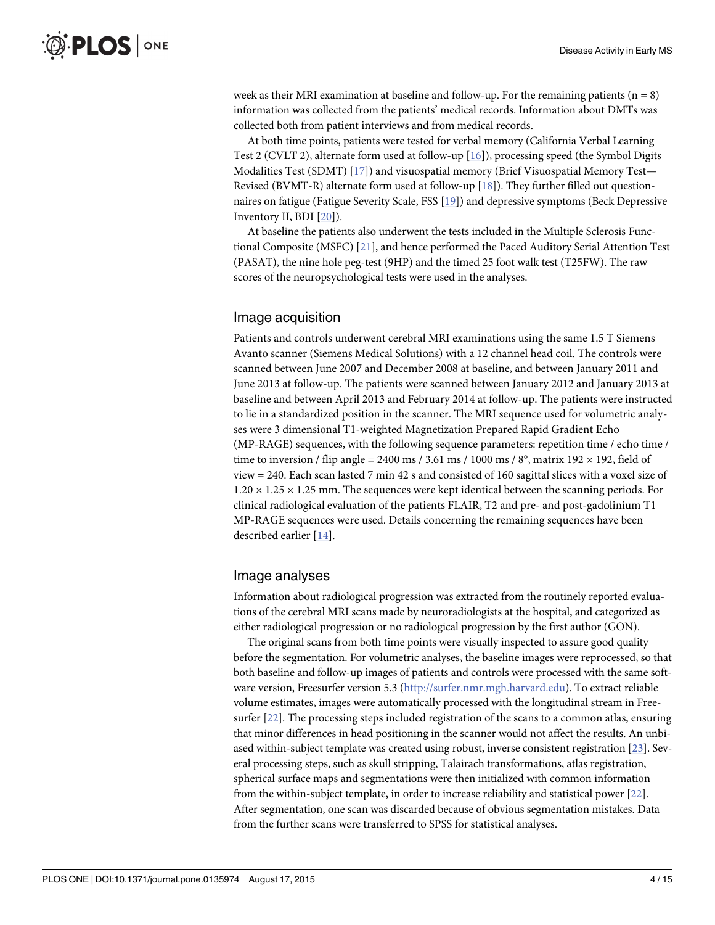<span id="page-3-0"></span>week as their MRI examination at baseline and follow-up. For the remaining patients ( $n = 8$ ) information was collected from the patients' medical records. Information about DMTs was collected both from patient interviews and from medical records.

At both time points, patients were tested for verbal memory (California Verbal Learning Test 2 (CVLT 2), alternate form used at follow-up [[16](#page-13-0)]), processing speed (the Symbol Digits Modalities Test (SDMT) [[17\]](#page-13-0)) and visuospatial memory (Brief Visuospatial Memory Test— Revised (BVMT-R) alternate form used at follow-up [[18](#page-13-0)]). They further filled out questionnaires on fatigue (Fatigue Severity Scale, FSS [[19](#page-13-0)]) and depressive symptoms (Beck Depressive Inventory II, BDI [[20](#page-13-0)]).

At baseline the patients also underwent the tests included in the Multiple Sclerosis Functional Composite (MSFC) [[21](#page-13-0)], and hence performed the Paced Auditory Serial Attention Test (PASAT), the nine hole peg-test (9HP) and the timed 25 foot walk test (T25FW). The raw scores of the neuropsychological tests were used in the analyses.

#### Image acquisition

Patients and controls underwent cerebral MRI examinations using the same 1.5 T Siemens Avanto scanner (Siemens Medical Solutions) with a 12 channel head coil. The controls were scanned between June 2007 and December 2008 at baseline, and between January 2011 and June 2013 at follow-up. The patients were scanned between January 2012 and January 2013 at baseline and between April 2013 and February 2014 at follow-up. The patients were instructed to lie in a standardized position in the scanner. The MRI sequence used for volumetric analyses were 3 dimensional T1-weighted Magnetization Prepared Rapid Gradient Echo (MP-RAGE) sequences, with the following sequence parameters: repetition time / echo time / time to inversion / flip angle = 2400 ms / 3.61 ms / 1000 ms /  $8^\circ$ , matrix 192  $\times$  192, field of view = 240. Each scan lasted 7 min 42 s and consisted of 160 sagittal slices with a voxel size of  $1.20 \times 1.25 \times 1.25$  mm. The sequences were kept identical between the scanning periods. For clinical radiological evaluation of the patients FLAIR, T2 and pre- and post-gadolinium T1 MP-RAGE sequences were used. Details concerning the remaining sequences have been described earlier [[14](#page-13-0)].

#### Image analyses

Information about radiological progression was extracted from the routinely reported evaluations of the cerebral MRI scans made by neuroradiologists at the hospital, and categorized as either radiological progression or no radiological progression by the first author (GON).

The original scans from both time points were visually inspected to assure good quality before the segmentation. For volumetric analyses, the baseline images were reprocessed, so that both baseline and follow-up images of patients and controls were processed with the same software version, Freesurfer version 5.3 [\(http://surfer.nmr.mgh.harvard.edu](http://surfer.nmr.mgh.harvard.edu)). To extract reliable volume estimates, images were automatically processed with the longitudinal stream in Freesurfer [[22\]](#page-13-0). The processing steps included registration of the scans to a common atlas, ensuring that minor differences in head positioning in the scanner would not affect the results. An unbiased within-subject template was created using robust, inverse consistent registration [\[23](#page-13-0)]. Several processing steps, such as skull stripping, Talairach transformations, atlas registration, spherical surface maps and segmentations were then initialized with common information from the within-subject template, in order to increase reliability and statistical power [\[22\]](#page-13-0). After segmentation, one scan was discarded because of obvious segmentation mistakes. Data from the further scans were transferred to SPSS for statistical analyses.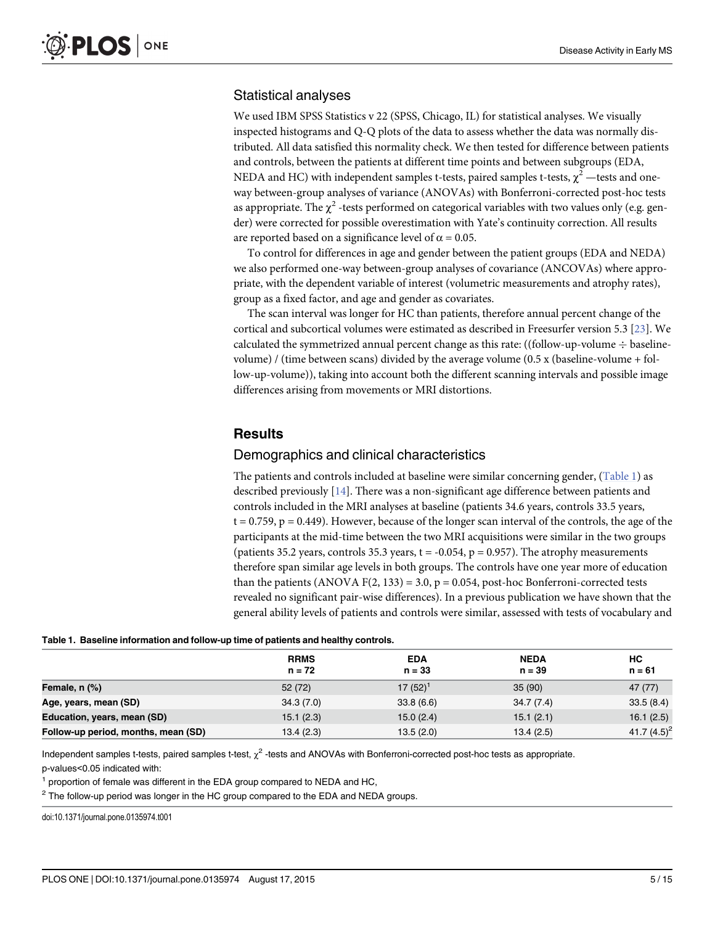## <span id="page-4-0"></span>Statistical analyses

We used IBM SPSS Statistics v 22 (SPSS, Chicago, IL) for statistical analyses. We visually inspected histograms and Q-Q plots of the data to assess whether the data was normally distributed. All data satisfied this normality check. We then tested for difference between patients and controls, between the patients at different time points and between subgroups (EDA, NEDA and HC) with independent samples t-tests, paired samples t-tests,  $\chi^2$  —tests and oneway between-group analyses of variance (ANOVAs) with Bonferroni-corrected post-hoc tests as appropriate. The  $\chi^2$ -tests performed on categorical variables with two values only (e.g. gender) were corrected for possible overestimation with Yate's continuity correction. All results are reported based on a significance level of  $\alpha$  = 0.05.

To control for differences in age and gender between the patient groups (EDA and NEDA) we also performed one-way between-group analyses of covariance (ANCOVAs) where appropriate, with the dependent variable of interest (volumetric measurements and atrophy rates), group as a fixed factor, and age and gender as covariates.

The scan interval was longer for HC than patients, therefore annual percent change of the cortical and subcortical volumes were estimated as described in Freesurfer version 5.3 [\[23\]](#page-13-0). We calculated the symmetrized annual percent change as this rate: ((follow-up-volume  $\div$  baselinevolume) / (time between scans) divided by the average volume (0.5 x (baseline-volume + follow-up-volume)), taking into account both the different scanning intervals and possible image differences arising from movements or MRI distortions.

# Results

#### Demographics and clinical characteristics

The patients and controls included at baseline were similar concerning gender, (Table 1) as described previously  $[14]$  $[14]$  $[14]$ . There was a non-significant age difference between patients and controls included in the MRI analyses at baseline (patients 34.6 years, controls 33.5 years,  $t = 0.759$ ,  $p = 0.449$ ). However, because of the longer scan interval of the controls, the age of the participants at the mid-time between the two MRI acquisitions were similar in the two groups (patients 35.2 years, controls 35.3 years,  $t = -0.054$ ,  $p = 0.957$ ). The atrophy measurements therefore span similar age levels in both groups. The controls have one year more of education than the patients (ANOVA F(2, 133) = 3.0,  $p = 0.054$ , post-hoc Bonferroni-corrected tests revealed no significant pair-wise differences). In a previous publication we have shown that the general ability levels of patients and controls were similar, assessed with tests of vocabulary and

|                                     | <b>RRMS</b><br>$n = 72$ | <b>EDA</b><br>$n = 33$ | <b>NEDA</b><br>$n = 39$ | HС<br>$n = 61$ |
|-------------------------------------|-------------------------|------------------------|-------------------------|----------------|
| Female, n (%)                       | 52(72)                  | 17 $(52)^1$            | 35(90)                  | 47 (77)        |
| Age, years, mean (SD)               | 34.3(7.0)               | 33.8(6.6)              | 34.7(7.4)               | 33.5(8.4)      |
| Education, years, mean (SD)         | 15.1(2.3)               | 15.0(2.4)              | 15.1(2.1)               | 16.1(2.5)      |
| Follow-up period, months, mean (SD) | 13.4(2.3)               | 13.5(2.0)              | 13.4(2.5)               | 41.7 $(4.5)^2$ |

Independent samples t-tests, paired samples t-test,  $\chi^2$ -tests and ANOVAs with Bonferroni-corrected post-hoc tests as appropriate.

p-values<0.05 indicated with:

 $1$  proportion of female was different in the EDA group compared to NEDA and HC,

 $2$  The follow-up period was longer in the HC group compared to the EDA and NEDA groups.

doi:10.1371/journal.pone.0135974.t001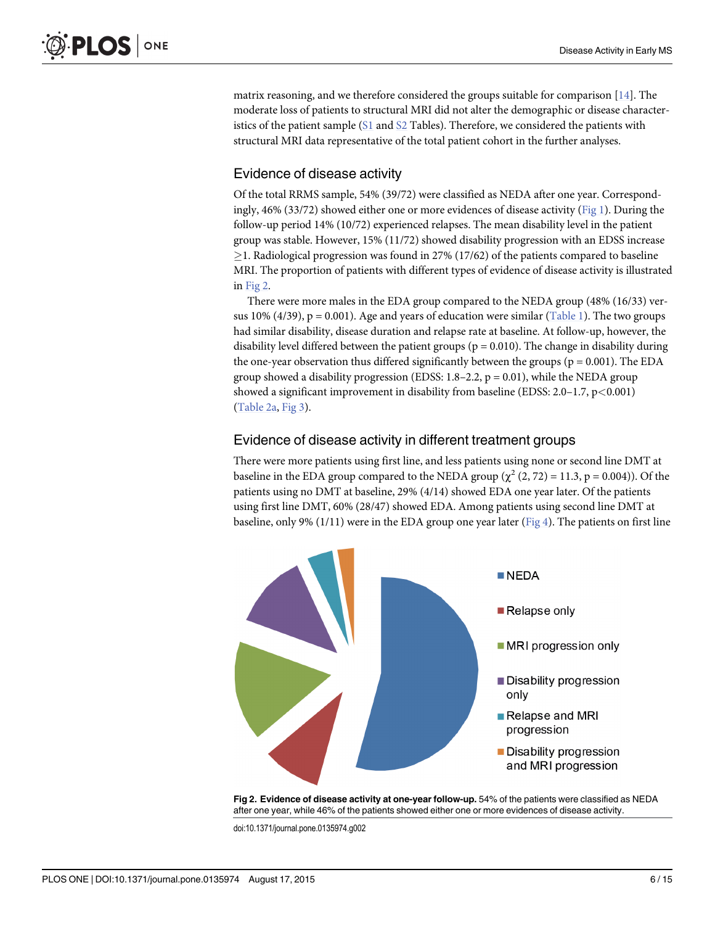<span id="page-5-0"></span>matrix reasoning, and we therefore considered the groups suitable for comparison [[14](#page-13-0)]. The moderate loss of patients to structural MRI did not alter the demographic or disease characteristics of the patient sample  $(S1$  and  $S2$  Tables). Therefore, we considered the patients with structural MRI data representative of the total patient cohort in the further analyses.

# Evidence of disease activity

Of the total RRMS sample, 54% (39/72) were classified as NEDA after one year. Correspondingly, 46% (33/72) showed either one or more evidences of disease activity [\(Fig 1\)](#page-2-0). During the follow-up period 14% (10/72) experienced relapses. The mean disability level in the patient group was stable. However, 15% (11/72) showed disability progression with an EDSS increase  $\geq$ 1. Radiological progression was found in 27% (17/62) of the patients compared to baseline MRI. The proportion of patients with different types of evidence of disease activity is illustrated in Fig 2.

There were more males in the EDA group compared to the NEDA group (48% (16/33) versus 10% (4/39),  $p = 0.001$ ). Age and years of education were similar ([Table 1](#page-4-0)). The two groups had similar disability, disease duration and relapse rate at baseline. At follow-up, however, the disability level differed between the patient groups ( $p = 0.010$ ). The change in disability during the one-year observation thus differed significantly between the groups ( $p = 0.001$ ). The EDA group showed a disability progression (EDSS:  $1.8-2.2$ ,  $p = 0.01$ ), while the NEDA group showed a significant improvement in disability from baseline (EDSS:  $2.0-1.7$ ,  $p<0.001$ ) [\(Table 2a](#page-6-0), [Fig 3\)](#page-7-0).

## Evidence of disease activity in different treatment groups

There were more patients using first line, and less patients using none or second line DMT at baseline in the EDA group compared to the NEDA group ( $\chi^2$  (2, 72) = 11.3, p = 0.004)). Of the patients using no DMT at baseline, 29% (4/14) showed EDA one year later. Of the patients using first line DMT, 60% (28/47) showed EDA. Among patients using second line DMT at baseline, only 9% (1/11) were in the EDA group one year later ( $Fig 4$ ). The patients on first line





doi:10.1371/journal.pone.0135974.g002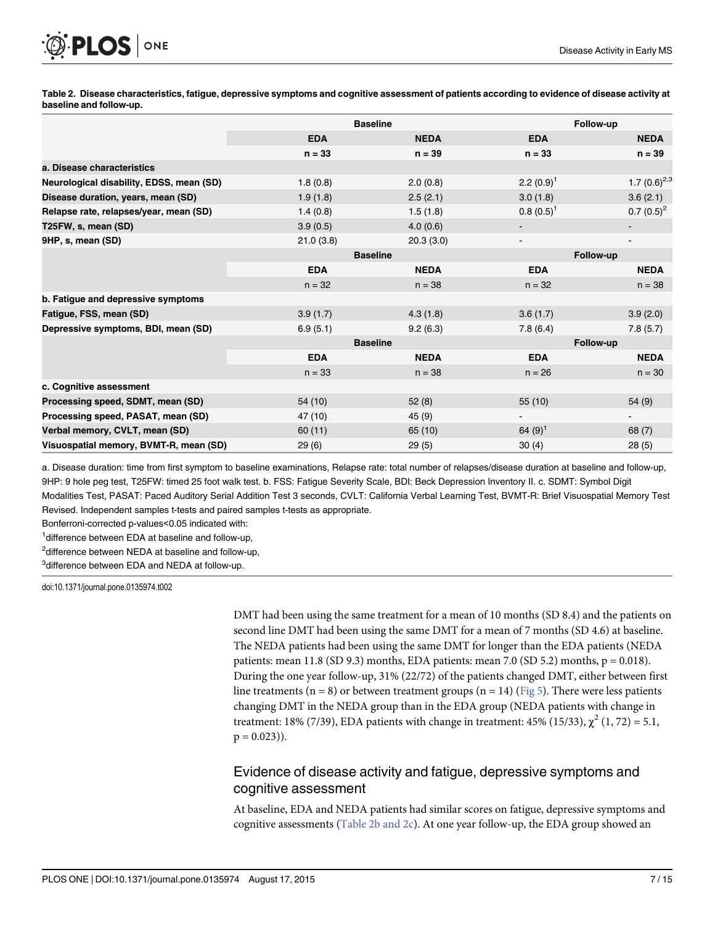<span id="page-6-0"></span>[Table 2.](#page-5-0) Disease characteristics, fatigue, depressive symptoms and cognitive assessment of patients according to evidence of disease activity at baseline and follow-up.

|                                          | <b>Baseline</b> |             | Follow-up      |                   |  |
|------------------------------------------|-----------------|-------------|----------------|-------------------|--|
|                                          | <b>EDA</b>      | <b>NEDA</b> | <b>EDA</b>     | <b>NEDA</b>       |  |
|                                          | $n = 33$        | $n = 39$    | $n = 33$       | $n = 39$          |  |
| a. Disease characteristics               |                 |             |                |                   |  |
| Neurological disability, EDSS, mean (SD) | 1.8(0.8)        | 2.0(0.8)    | $2.2(0.9)^1$   | 1.7 $(0.6)^{2,3}$ |  |
| Disease duration, years, mean (SD)       | 1.9(1.8)        | 2.5(2.1)    | 3.0(1.8)       | 3.6(2.1)          |  |
| Relapse rate, relapses/year, mean (SD)   | 1.4(0.8)        | 1.5(1.8)    | $0.8(0.5)^1$   | $0.7(0.5)^2$      |  |
| T25FW, s, mean (SD)                      | 3.9(0.5)        | 4.0(0.6)    | $\blacksquare$ |                   |  |
| 9HP, s, mean (SD)                        | 21.0(3.8)       | 20.3(3.0)   |                |                   |  |
|                                          | <b>Baseline</b> |             | Follow-up      |                   |  |
|                                          | <b>EDA</b>      | <b>NEDA</b> | <b>EDA</b>     | <b>NEDA</b>       |  |
|                                          | $n = 32$        | $n = 38$    | $n = 32$       | $n = 38$          |  |
| b. Fatigue and depressive symptoms       |                 |             |                |                   |  |
| Fatigue, FSS, mean (SD)                  | 3.9(1.7)        | 4.3(1.8)    | 3.6(1.7)       | 3.9(2.0)          |  |
| Depressive symptoms, BDI, mean (SD)      | 6.9(5.1)        | 9.2(6.3)    | 7.8(6.4)       | 7.8(5.7)          |  |
|                                          | <b>Baseline</b> |             | Follow-up      |                   |  |
|                                          | <b>EDA</b>      | <b>NEDA</b> | <b>EDA</b>     | <b>NEDA</b>       |  |
|                                          | $n = 33$        | $n = 38$    | $n = 26$       | $n = 30$          |  |
| c. Cognitive assessment                  |                 |             |                |                   |  |
| Processing speed, SDMT, mean (SD)        | 54 (10)         | 52(8)       | 55 (10)        | 54(9)             |  |
| Processing speed, PASAT, mean (SD)       | 47 (10)         | 45 (9)      | $\sim$         |                   |  |
| Verbal memory, CVLT, mean (SD)           | 60(11)          | 65 (10)     | 64 $(9)^1$     | 68 (7)            |  |
| Visuospatial memory, BVMT-R, mean (SD)   | 29(6)           | 29(5)       | 30(4)          | 28(5)             |  |

a. Disease duration: time from first symptom to baseline examinations, Relapse rate: total number of relapses/disease duration at baseline and follow-up, 9HP: 9 hole peg test, T25FW: timed 25 foot walk test. b. FSS: Fatigue Severity Scale, BDI: Beck Depression Inventory II. c. SDMT: Symbol Digit Modalities Test, PASAT: Paced Auditory Serial Addition Test 3 seconds, CVLT: California Verbal Learning Test, BVMT-R: Brief Visuospatial Memory Test Revised. Independent samples t-tests and paired samples t-tests as appropriate.

Bonferroni-corrected p-values<0.05 indicated with:

<sup>1</sup> difference between EDA at baseline and follow-up,

<sup>2</sup>difference between NEDA at baseline and follow-up,

 $3$ difference between EDA and NEDA at follow-up.

doi:10.1371/journal.pone.0135974.t002

DMT had been using the same treatment for a mean of 10 months (SD 8.4) and the patients on second line DMT had been using the same DMT for a mean of 7 months (SD 4.6) at baseline. The NEDA patients had been using the same DMT for longer than the EDA patients (NEDA patients: mean  $11.8$  (SD 9.3) months, EDA patients: mean 7.0 (SD 5.2) months,  $p = 0.018$ ). During the one year follow-up, 31% (22/72) of the patients changed DMT, either between first line treatments (n = 8) or between treatment groups (n = 14) ( $Fig 5$ ). There were less patients changing DMT in the NEDA group than in the EDA group (NEDA patients with change in treatment: 18% (7/39), EDA patients with change in treatment: 45% (15/33),  $\chi^2$  (1, 72) = 5.1,  $p = 0.023$ ).

# Evidence of disease activity and fatigue, depressive symptoms and cognitive assessment

At baseline, EDA and NEDA patients had similar scores on fatigue, depressive symptoms and cognitive assessments ( $Table 2b$  and  $2c$ ). At one year follow-up, the EDA group showed an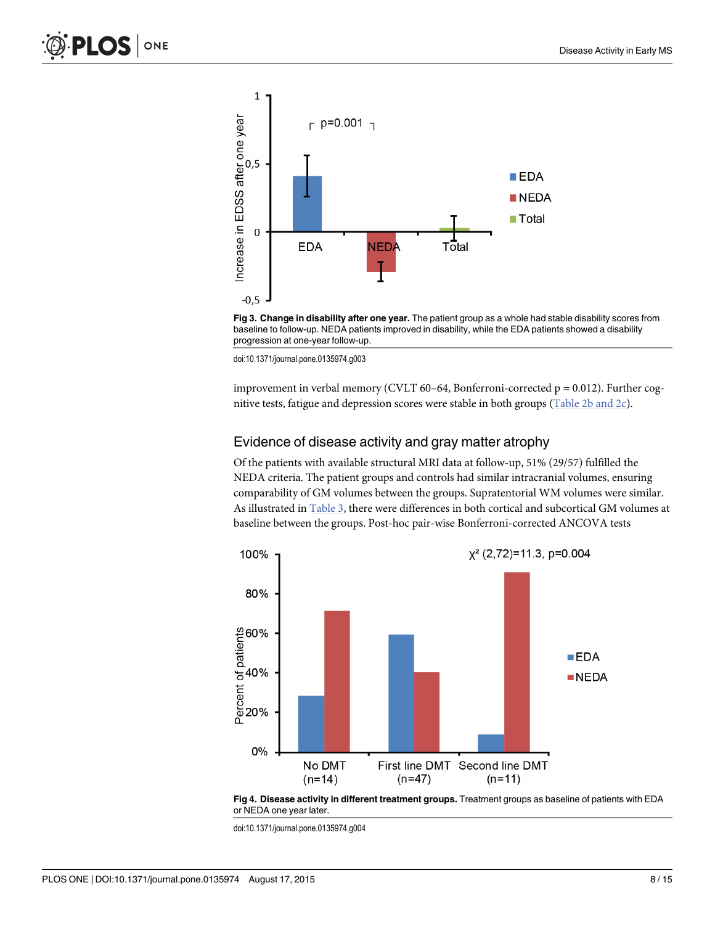<span id="page-7-0"></span>

[Fig 3. C](#page-5-0)hange in disability after one year. The patient group as a whole had stable disability scores from baseline to follow-up. NEDA patients improved in disability, while the EDA patients showed a disability progression at one-year follow-up.

doi:10.1371/journal.pone.0135974.g003

improvement in verbal memory (CVLT 60–64, Bonferroni-corrected  $p = 0.012$ ). Further cognitive tests, fatigue and depression scores were stable in both groups ([Table 2b and 2c](#page-6-0)).

#### Evidence of disease activity and gray matter atrophy

Of the patients with available structural MRI data at follow-up, 51% (29/57) fulfilled the NEDA criteria. The patient groups and controls had similar intracranial volumes, ensuring comparability of GM volumes between the groups. Supratentorial WM volumes were similar. As illustrated in [Table 3](#page-8-0), there were differences in both cortical and subcortical GM volumes at baseline between the groups. Post-hoc pair-wise Bonferroni-corrected ANCOVA tests



[Fig 4. D](#page-5-0)isease activity in different treatment groups. Treatment groups as baseline of patients with EDA or NEDA one year later.

doi:10.1371/journal.pone.0135974.g004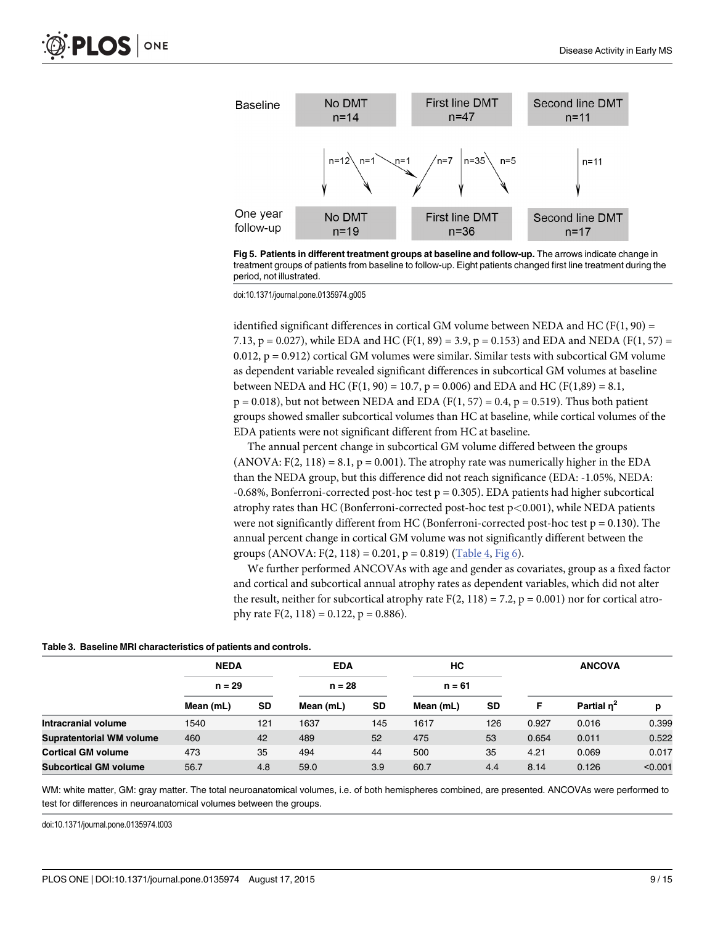<span id="page-8-0"></span>

[Fig 5. P](#page-6-0)atients in different treatment groups at baseline and follow-up. The arrows indicate change in treatment groups of patients from baseline to follow-up. Eight patients changed first line treatment during the period, not illustrated.

doi:10.1371/journal.pone.0135974.g005

identified significant differences in cortical GM volume between NEDA and HC ( $F(1, 90) =$ 7.13, p = 0.027), while EDA and HC (F(1, 89) = 3.9, p = 0.153) and EDA and NEDA (F(1, 57) = 0.012,  $p = 0.912$ ) cortical GM volumes were similar. Similar tests with subcortical GM volume as dependent variable revealed significant differences in subcortical GM volumes at baseline between NEDA and HC (F(1, 90) = 10.7, p = 0.006) and EDA and HC (F(1,89) = 8.1,  $p = 0.018$ ), but not between NEDA and EDA (F(1, 57) = 0.4,  $p = 0.519$ ). Thus both patient groups showed smaller subcortical volumes than HC at baseline, while cortical volumes of the EDA patients were not significant different from HC at baseline.

The annual percent change in subcortical GM volume differed between the groups  $(ANOVA: F(2, 118) = 8.1, p = 0.001)$ . The atrophy rate was numerically higher in the EDA than the NEDA group, but this difference did not reach significance (EDA: -1.05%, NEDA:  $-0.68\%$ , Bonferroni-corrected post-hoc test  $p = 0.305$ ). EDA patients had higher subcortical atrophy rates than HC (Bonferroni-corrected post-hoc test  $p$ <0.001), while NEDA patients were not significantly different from HC (Bonferroni-corrected post-hoc test  $p = 0.130$ ). The annual percent change in cortical GM volume was not significantly different between the groups (ANOVA:  $F(2, 118) = 0.201$ ,  $p = 0.819$ ) [\(Table 4](#page-9-0), [Fig 6](#page-9-0)).

We further performed ANCOVAs with age and gender as covariates, group as a fixed factor and cortical and subcortical annual atrophy rates as dependent variables, which did not alter the result, neither for subcortical atrophy rate  $F(2, 118) = 7.2$ ,  $p = 0.001$ ) nor for cortical atrophy rate  $F(2, 118) = 0.122$ ,  $p = 0.886$ ).

| Table 3. Baseline MRI characteristics of patients and controls. |  |  |  |
|-----------------------------------------------------------------|--|--|--|
|-----------------------------------------------------------------|--|--|--|

|                                 | <b>NEDA</b><br>$n = 29$ |           | <b>EDA</b><br>$n = 28$ |     | HC.<br>$n = 61$ |     | <b>ANCOVA</b> |                        |         |
|---------------------------------|-------------------------|-----------|------------------------|-----|-----------------|-----|---------------|------------------------|---------|
|                                 |                         |           |                        |     |                 |     |               |                        |         |
|                                 | Mean (mL)               | <b>SD</b> | Mean (mL)              | SD  | Mean (mL)       | SD  | F             | Partial n <sup>2</sup> | D.      |
| Intracranial volume             | 1540                    | 121       | 1637                   | 145 | 1617            | 126 | 0.927         | 0.016                  | 0.399   |
| <b>Supratentorial WM volume</b> | 460                     | 42        | 489                    | 52  | 475             | 53  | 0.654         | 0.011                  | 0.522   |
| <b>Cortical GM volume</b>       | 473                     | 35        | 494                    | 44  | 500             | 35  | 4.21          | 0.069                  | 0.017   |
| <b>Subcortical GM volume</b>    | 56.7                    | 4.8       | 59.0                   | 3.9 | 60.7            | 4.4 | 8.14          | 0.126                  | < 0.001 |

WM: white matter, GM: gray matter. The total neuroanatomical volumes, i.e. of both hemispheres combined, are presented. ANCOVAs were performed to test for differences in neuroanatomical volumes between the groups.

doi:10.1371/journal.pone.0135974.t003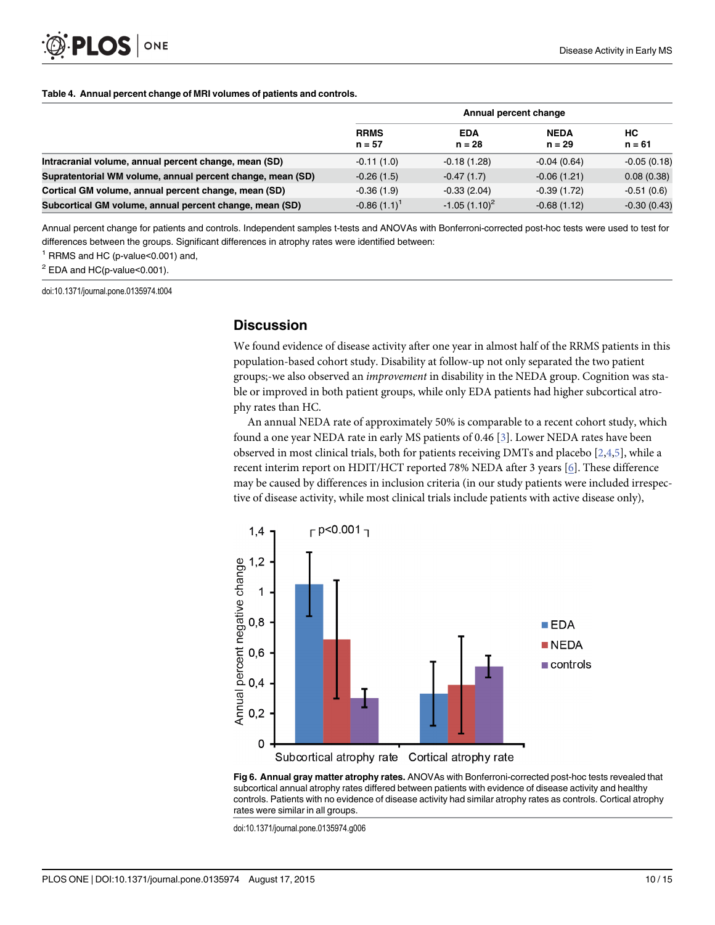#### <span id="page-9-0"></span>[Table 4.](#page-8-0) Annual percent change of MRI volumes of patients and controls.

|                                                            | Annual percent change   |                        |                         |                 |  |  |
|------------------------------------------------------------|-------------------------|------------------------|-------------------------|-----------------|--|--|
|                                                            | <b>RRMS</b><br>$n = 57$ | <b>EDA</b><br>$n = 28$ | <b>NEDA</b><br>$n = 29$ | HC.<br>$n = 61$ |  |  |
| Intracranial volume, annual percent change, mean (SD)      | $-0.11(1.0)$            | $-0.18(1.28)$          | $-0.04(0.64)$           | $-0.05(0.18)$   |  |  |
| Supratentorial WM volume, annual percent change, mean (SD) | $-0.26(1.5)$            | $-0.47(1.7)$           | $-0.06(1.21)$           | 0.08(0.38)      |  |  |
| Cortical GM volume, annual percent change, mean (SD)       | $-0.36(1.9)$            | $-0.33(2.04)$          | $-0.39(1.72)$           | $-0.51(0.6)$    |  |  |
| Subcortical GM volume, annual percent change, mean (SD)    | $-0.86(1.1)^1$          | $-1.05(1.10)^2$        | $-0.68(1.12)$           | $-0.30(0.43)$   |  |  |

Annual percent change for patients and controls. Independent samples t-tests and ANOVAs with Bonferroni-corrected post-hoc tests were used to test for differences between the groups. Significant differences in atrophy rates were identified between:

<sup>1</sup> RRMS and HC (p-value<0.001) and,

<sup>2</sup> EDA and HC(p-value<0.001).

doi:10.1371/journal.pone.0135974.t004

## **Discussion**

We found evidence of disease activity after one year in almost half of the RRMS patients in this population-based cohort study. Disability at follow-up not only separated the two patient groups;-we also observed an improvement in disability in the NEDA group. Cognition was stable or improved in both patient groups, while only EDA patients had higher subcortical atrophy rates than HC.

An annual NEDA rate of approximately 50% is comparable to a recent cohort study, which found a one year NEDA rate in early MS patients of 0.46 [[3](#page-12-0)]. Lower NEDA rates have been observed in most clinical trials, both for patients receiving DMTs and placebo [\[2,4,5](#page-12-0)], while a recent interim report on HDIT/HCT reported 78% NEDA after 3 years [[6\]](#page-12-0). These difference may be caused by differences in inclusion criteria (in our study patients were included irrespective of disease activity, while most clinical trials include patients with active disease only),



[Fig 6. A](#page-8-0)nnual gray matter atrophy rates. ANOVAs with Bonferroni-corrected post-hoc tests revealed that subcortical annual atrophy rates differed between patients with evidence of disease activity and healthy controls. Patients with no evidence of disease activity had similar atrophy rates as controls. Cortical atrophy rates were similar in all groups.

doi:10.1371/journal.pone.0135974.g006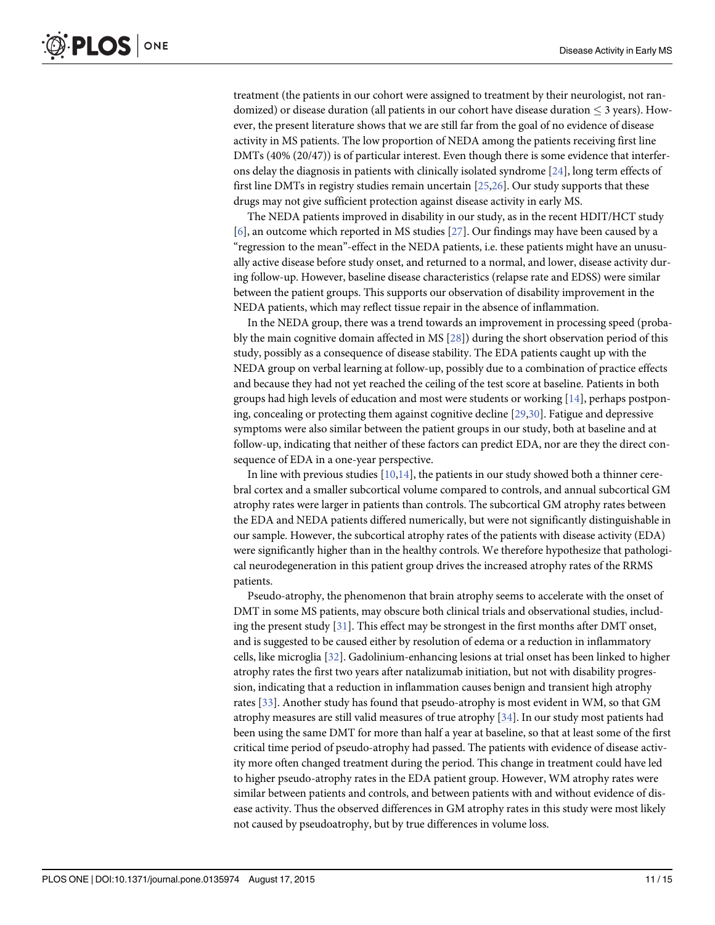<span id="page-10-0"></span>treatment (the patients in our cohort were assigned to treatment by their neurologist, not randomized) or disease duration (all patients in our cohort have disease duration  $\leq$  3 years). However, the present literature shows that we are still far from the goal of no evidence of disease activity in MS patients. The low proportion of NEDA among the patients receiving first line DMTs (40% (20/47)) is of particular interest. Even though there is some evidence that interferons delay the diagnosis in patients with clinically isolated syndrome [\[24\]](#page-13-0), long term effects of first line DMTs in registry studies remain uncertain [\[25,26\]](#page-13-0). Our study supports that these drugs may not give sufficient protection against disease activity in early MS.

The NEDA patients improved in disability in our study, as in the recent HDIT/HCT study [\[6](#page-12-0)], an outcome which reported in MS studies [[27](#page-13-0)]. Our findings may have been caused by a "regression to the mean"-effect in the NEDA patients, i.e. these patients might have an unusually active disease before study onset, and returned to a normal, and lower, disease activity during follow-up. However, baseline disease characteristics (relapse rate and EDSS) were similar between the patient groups. This supports our observation of disability improvement in the NEDA patients, which may reflect tissue repair in the absence of inflammation.

In the NEDA group, there was a trend towards an improvement in processing speed (probably the main cognitive domain affected in MS [[28](#page-13-0)]) during the short observation period of this study, possibly as a consequence of disease stability. The EDA patients caught up with the NEDA group on verbal learning at follow-up, possibly due to a combination of practice effects and because they had not yet reached the ceiling of the test score at baseline. Patients in both groups had high levels of education and most were students or working [\[14\]](#page-13-0), perhaps postponing, concealing or protecting them against cognitive decline [[29,30](#page-13-0)]. Fatigue and depressive symptoms were also similar between the patient groups in our study, both at baseline and at follow-up, indicating that neither of these factors can predict EDA, nor are they the direct consequence of EDA in a one-year perspective.

In line with previous studies  $[10,14]$  $[10,14]$ , the patients in our study showed both a thinner cerebral cortex and a smaller subcortical volume compared to controls, and annual subcortical GM atrophy rates were larger in patients than controls. The subcortical GM atrophy rates between the EDA and NEDA patients differed numerically, but were not significantly distinguishable in our sample. However, the subcortical atrophy rates of the patients with disease activity (EDA) were significantly higher than in the healthy controls. We therefore hypothesize that pathological neurodegeneration in this patient group drives the increased atrophy rates of the RRMS patients.

Pseudo-atrophy, the phenomenon that brain atrophy seems to accelerate with the onset of DMT in some MS patients, may obscure both clinical trials and observational studies, including the present study [\[31\]](#page-13-0). This effect may be strongest in the first months after DMT onset, and is suggested to be caused either by resolution of edema or a reduction in inflammatory cells, like microglia [\[32\]](#page-14-0). Gadolinium-enhancing lesions at trial onset has been linked to higher atrophy rates the first two years after natalizumab initiation, but not with disability progression, indicating that a reduction in inflammation causes benign and transient high atrophy rates [[33](#page-14-0)]. Another study has found that pseudo-atrophy is most evident in WM, so that GM atrophy measures are still valid measures of true atrophy [\[34\]](#page-14-0). In our study most patients had been using the same DMT for more than half a year at baseline, so that at least some of the first critical time period of pseudo-atrophy had passed. The patients with evidence of disease activity more often changed treatment during the period. This change in treatment could have led to higher pseudo-atrophy rates in the EDA patient group. However, WM atrophy rates were similar between patients and controls, and between patients with and without evidence of disease activity. Thus the observed differences in GM atrophy rates in this study were most likely not caused by pseudoatrophy, but by true differences in volume loss.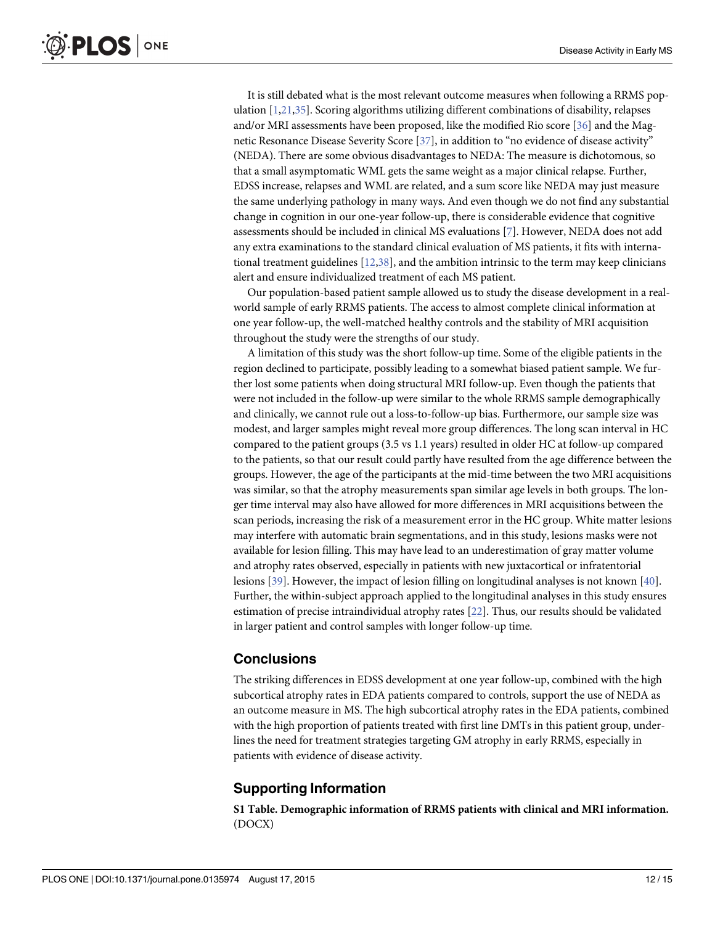<span id="page-11-0"></span>It is still debated what is the most relevant outcome measures when following a RRMS population [[1,](#page-12-0)[21](#page-13-0),[35](#page-14-0)]. Scoring algorithms utilizing different combinations of disability, relapses and/or MRI assessments have been proposed, like the modified Rio score [[36\]](#page-14-0) and the Magnetic Resonance Disease Severity Score [\[37](#page-14-0)], in addition to "no evidence of disease activity" (NEDA). There are some obvious disadvantages to NEDA: The measure is dichotomous, so that a small asymptomatic WML gets the same weight as a major clinical relapse. Further, EDSS increase, relapses and WML are related, and a sum score like NEDA may just measure the same underlying pathology in many ways. And even though we do not find any substantial change in cognition in our one-year follow-up, there is considerable evidence that cognitive assessments should be included in clinical MS evaluations [\[7\]](#page-12-0). However, NEDA does not add any extra examinations to the standard clinical evaluation of MS patients, it fits with international treatment guidelines  $[12,38]$  $[12,38]$  $[12,38]$ , and the ambition intrinsic to the term may keep clinicians alert and ensure individualized treatment of each MS patient.

Our population-based patient sample allowed us to study the disease development in a realworld sample of early RRMS patients. The access to almost complete clinical information at one year follow-up, the well-matched healthy controls and the stability of MRI acquisition throughout the study were the strengths of our study.

A limitation of this study was the short follow-up time. Some of the eligible patients in the region declined to participate, possibly leading to a somewhat biased patient sample. We further lost some patients when doing structural MRI follow-up. Even though the patients that were not included in the follow-up were similar to the whole RRMS sample demographically and clinically, we cannot rule out a loss-to-follow-up bias. Furthermore, our sample size was modest, and larger samples might reveal more group differences. The long scan interval in HC compared to the patient groups (3.5 vs 1.1 years) resulted in older HC at follow-up compared to the patients, so that our result could partly have resulted from the age difference between the groups. However, the age of the participants at the mid-time between the two MRI acquisitions was similar, so that the atrophy measurements span similar age levels in both groups. The longer time interval may also have allowed for more differences in MRI acquisitions between the scan periods, increasing the risk of a measurement error in the HC group. White matter lesions may interfere with automatic brain segmentations, and in this study, lesions masks were not available for lesion filling. This may have lead to an underestimation of gray matter volume and atrophy rates observed, especially in patients with new juxtacortical or infratentorial lesions [[39](#page-14-0)]. However, the impact of lesion filling on longitudinal analyses is not known [\[40](#page-14-0)]. Further, the within-subject approach applied to the longitudinal analyses in this study ensures estimation of precise intraindividual atrophy rates [[22](#page-13-0)]. Thus, our results should be validated in larger patient and control samples with longer follow-up time.

#### Conclusions

The striking differences in EDSS development at one year follow-up, combined with the high subcortical atrophy rates in EDA patients compared to controls, support the use of NEDA as an outcome measure in MS. The high subcortical atrophy rates in the EDA patients, combined with the high proportion of patients treated with first line DMTs in this patient group, underlines the need for treatment strategies targeting GM atrophy in early RRMS, especially in patients with evidence of disease activity.

## Supporting Information

[S1 Table](http://www.plosone.org/article/fetchSingleRepresentation.action?uri=info:doi/10.1371/journal.pone.0135974.s001). Demographic information of RRMS patients with clinical and MRI information. (DOCX)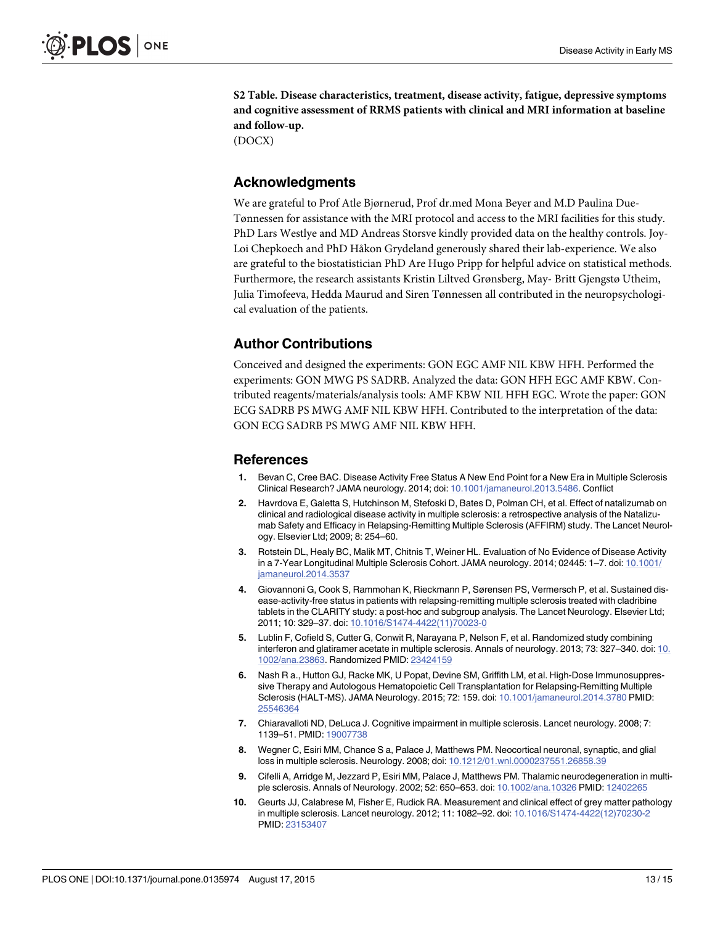<span id="page-12-0"></span>[S2 Table](http://www.plosone.org/article/fetchSingleRepresentation.action?uri=info:doi/10.1371/journal.pone.0135974.s002). Disease characteristics, treatment, disease activity, fatigue, depressive symptoms and cognitive assessment of RRMS patients with clinical and MRI information at baseline and follow-up.

(DOCX)

#### Acknowledgments

We are grateful to Prof Atle Bjørnerud, Prof dr.med Mona Beyer and M.D Paulina Due-Tønnessen for assistance with the MRI protocol and access to the MRI facilities for this study. PhD Lars Westlye and MD Andreas Storsve kindly provided data on the healthy controls. Joy-Loi Chepkoech and PhD Håkon Grydeland generously shared their lab-experience. We also are grateful to the biostatistician PhD Are Hugo Pripp for helpful advice on statistical methods. Furthermore, the research assistants Kristin Liltved Grønsberg, May- Britt Gjengstø Utheim, Julia Timofeeva, Hedda Maurud and Siren Tønnessen all contributed in the neuropsychological evaluation of the patients.

# Author Contributions

Conceived and designed the experiments: GON EGC AMF NIL KBW HFH. Performed the experiments: GON MWG PS SADRB. Analyzed the data: GON HFH EGC AMF KBW. Contributed reagents/materials/analysis tools: AMF KBW NIL HFH EGC. Wrote the paper: GON ECG SADRB PS MWG AMF NIL KBW HFH. Contributed to the interpretation of the data: GON ECG SADRB PS MWG AMF NIL KBW HFH.

#### References

- [1.](#page-0-0) Bevan C, Cree BAC. Disease Activity Free Status A New End Point for a New Era in Multiple Sclerosis Clinical Research? JAMA neurology. 2014; doi: [10.1001/jamaneurol.2013.5486](http://dx.doi.org/10.1001/jamaneurol.2013.5486). Conflict
- [2.](#page-0-0) Havrdova E, Galetta S, Hutchinson M, Stefoski D, Bates D, Polman CH, et al. Effect of natalizumab on clinical and radiological disease activity in multiple sclerosis: a retrospective analysis of the Natalizumab Safety and Efficacy in Relapsing-Remitting Multiple Sclerosis (AFFIRM) study. The Lancet Neurology. Elsevier Ltd; 2009; 8: 254–60.
- [3.](#page-0-0) Rotstein DL, Healy BC, Malik MT, Chitnis T, Weiner HL. Evaluation of No Evidence of Disease Activity in a 7-Year Longitudinal Multiple Sclerosis Cohort. JAMA neurology. 2014; 02445: 1–7. doi: [10.1001/](http://dx.doi.org/10.1001/jamaneurol.2014.3537) [jamaneurol.2014.3537](http://dx.doi.org/10.1001/jamaneurol.2014.3537)
- [4.](#page-1-0) Giovannoni G, Cook S, Rammohan K, Rieckmann P, Sørensen PS, Vermersch P, et al. Sustained disease-activity-free status in patients with relapsing-remitting multiple sclerosis treated with cladribine tablets in the CLARITY study: a post-hoc and subgroup analysis. The Lancet Neurology. Elsevier Ltd; 2011; 10: 329–37. doi: [10.1016/S1474-4422\(11\)70023-0](http://dx.doi.org/10.1016/S1474-4422(11)70023-0)
- [5.](#page-1-0) Lublin F, Cofield S, Cutter G, Conwit R, Narayana P, Nelson F, et al. Randomized study combining interferon and glatiramer acetate in multiple sclerosis. Annals of neurology. 2013; 73: 327–340. doi: [10.](http://dx.doi.org/10.1002/ana.23863) [1002/ana.23863](http://dx.doi.org/10.1002/ana.23863). Randomized PMID: [23424159](http://www.ncbi.nlm.nih.gov/pubmed/23424159)
- [6.](#page-1-0) Nash R a., Hutton GJ, Racke MK, U Popat, Devine SM, Griffith LM, et al. High-Dose Immunosuppressive Therapy and Autologous Hematopoietic Cell Transplantation for Relapsing-Remitting Multiple Sclerosis (HALT-MS). JAMA Neurology. 2015; 72: 159. doi: [10.1001/jamaneurol.2014.3780](http://dx.doi.org/10.1001/jamaneurol.2014.3780) PMID: [25546364](http://www.ncbi.nlm.nih.gov/pubmed/25546364)
- [7.](#page-1-0) Chiaravalloti ND, DeLuca J. Cognitive impairment in multiple sclerosis. Lancet neurology. 2008; 7: 1139-51. PMID: [19007738](http://www.ncbi.nlm.nih.gov/pubmed/19007738)
- [8.](#page-1-0) Wegner C, Esiri MM, Chance S a, Palace J, Matthews PM. Neocortical neuronal, synaptic, and glial loss in multiple sclerosis. Neurology. 2008; doi: [10.1212/01.wnl.0000237551.26858.39](http://dx.doi.org/10.1212/01.wnl.0000237551.26858.39)
- [9.](#page-1-0) Cifelli A, Arridge M, Jezzard P, Esiri MM, Palace J, Matthews PM. Thalamic neurodegeneration in multiple sclerosis. Annals of Neurology. 2002; 52: 650–653. doi: [10.1002/ana.10326](http://dx.doi.org/10.1002/ana.10326) PMID: [12402265](http://www.ncbi.nlm.nih.gov/pubmed/12402265)
- [10.](#page-1-0) Geurts JJ, Calabrese M, Fisher E, Rudick RA. Measurement and clinical effect of grey matter pathology in multiple sclerosis. Lancet neurology. 2012; 11: 1082–92. doi: [10.1016/S1474-4422\(12\)70230-2](http://dx.doi.org/10.1016/S1474-4422(12)70230-2) PMID: [23153407](http://www.ncbi.nlm.nih.gov/pubmed/23153407)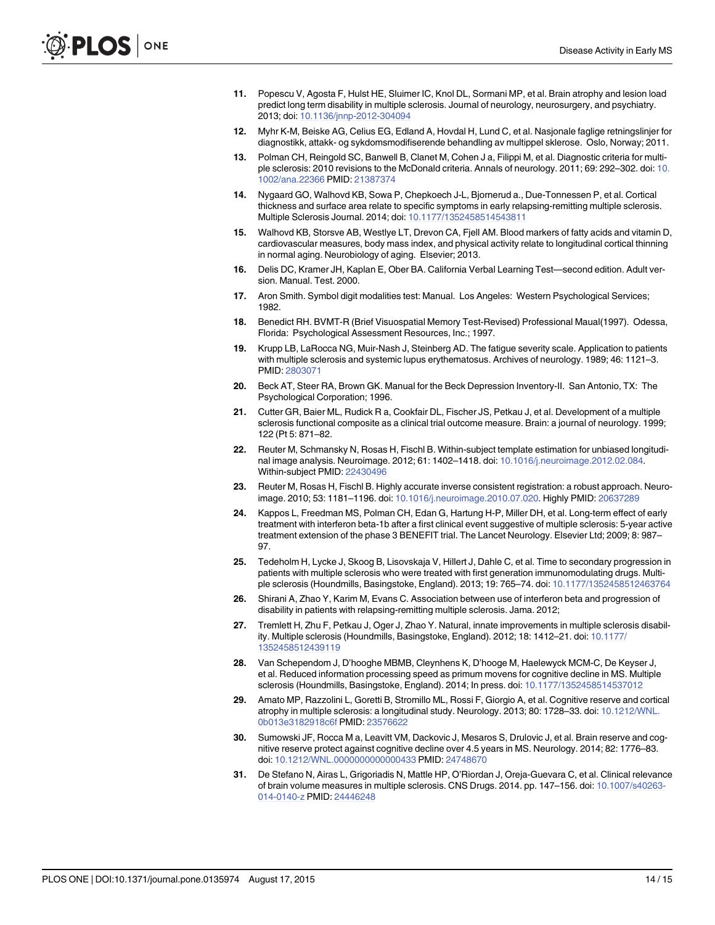- <span id="page-13-0"></span>[11.](#page-1-0) Popescu V, Agosta F, Hulst HE, Sluimer IC, Knol DL, Sormani MP, et al. Brain atrophy and lesion load predict long term disability in multiple sclerosis. Journal of neurology, neurosurgery, and psychiatry. 2013; doi: [10.1136/jnnp-2012-304094](http://dx.doi.org/10.1136/jnnp-2012-304094)
- [12.](#page-1-0) Myhr K-M, Beiske AG, Celius EG, Edland A, Hovdal H, Lund C, et al. Nasjonale faglige retningslinjer for diagnostikk, attakk- og sykdomsmodifiserende behandling av multippel sklerose. Oslo, Norway; 2011.
- [13.](#page-1-0) Polman CH, Reingold SC, Banwell B, Clanet M, Cohen J a, Filippi M, et al. Diagnostic criteria for multiple sclerosis: 2010 revisions to the McDonald criteria. Annals of neurology. 2011; 69: 292–302. doi: [10.](http://dx.doi.org/10.1002/ana.22366) [1002/ana.22366](http://dx.doi.org/10.1002/ana.22366) PMID: [21387374](http://www.ncbi.nlm.nih.gov/pubmed/21387374)
- [14.](#page-1-0) Nygaard GO, Walhovd KB, Sowa P, Chepkoech J-L, Bjornerud a., Due-Tonnessen P, et al. Cortical thickness and surface area relate to specific symptoms in early relapsing-remitting multiple sclerosis. Multiple Sclerosis Journal. 2014; doi: [10.1177/1352458514543811](http://dx.doi.org/10.1177/1352458514543811)
- [15.](#page-2-0) Walhovd KB, Storsve AB, Westlye LT, Drevon CA, Fjell AM. Blood markers of fatty acids and vitamin D, cardiovascular measures, body mass index, and physical activity relate to longitudinal cortical thinning in normal aging. Neurobiology of aging. Elsevier; 2013.
- [16.](#page-3-0) Delis DC, Kramer JH, Kaplan E, Ober BA. California Verbal Learning Test—second edition. Adult version. Manual. Test. 2000.
- [17.](#page-3-0) Aron Smith. Symbol digit modalities test: Manual. Los Angeles: Western Psychological Services; 1982.
- [18.](#page-3-0) Benedict RH. BVMT-R (Brief Visuospatial Memory Test-Revised) Professional Maual(1997). Odessa, Florida: Psychological Assessment Resources, Inc.; 1997.
- [19.](#page-3-0) Krupp LB, LaRocca NG, Muir-Nash J, Steinberg AD. The fatigue severity scale. Application to patients with multiple sclerosis and systemic lupus erythematosus. Archives of neurology. 1989; 46: 1121–3. PMID: [2803071](http://www.ncbi.nlm.nih.gov/pubmed/2803071)
- [20.](#page-3-0) Beck AT, Steer RA, Brown GK. Manual for the Beck Depression Inventory-II. San Antonio, TX: The Psychological Corporation; 1996.
- [21.](#page-3-0) Cutter GR, Baier ML, Rudick R a, Cookfair DL, Fischer JS, Petkau J, et al. Development of a multiple sclerosis functional composite as a clinical trial outcome measure. Brain: a journal of neurology. 1999; 122 (Pt 5: 871–82.
- [22.](#page-3-0) Reuter M, Schmansky N, Rosas H, Fischl B. Within-subject template estimation for unbiased longitudinal image analysis. Neuroimage. 2012; 61: 1402–1418. doi: [10.1016/j.neuroimage.2012.02.084.](http://dx.doi.org/10.1016/j.neuroimage.2012.02.084) Within-subject PMID: [22430496](http://www.ncbi.nlm.nih.gov/pubmed/22430496)
- [23.](#page-3-0) Reuter M, Rosas H, Fischl B. Highly accurate inverse consistent registration: a robust approach. Neuroimage. 2010; 53: 1181–1196. doi: [10.1016/j.neuroimage.2010.07.020](http://dx.doi.org/10.1016/j.neuroimage.2010.07.020). Highly PMID: [20637289](http://www.ncbi.nlm.nih.gov/pubmed/20637289)
- [24.](#page-10-0) Kappos L, Freedman MS, Polman CH, Edan G, Hartung H-P, Miller DH, et al. Long-term effect of early treatment with interferon beta-1b after a first clinical event suggestive of multiple sclerosis: 5-year active treatment extension of the phase 3 BENEFIT trial. The Lancet Neurology. Elsevier Ltd; 2009; 8: 987– 97.
- [25.](#page-10-0) Tedeholm H, Lycke J, Skoog B, Lisovskaja V, Hillert J, Dahle C, et al. Time to secondary progression in patients with multiple sclerosis who were treated with first generation immunomodulating drugs. Multiple sclerosis (Houndmills, Basingstoke, England). 2013; 19: 765–74. doi: [10.1177/1352458512463764](http://dx.doi.org/10.1177/1352458512463764)
- [26.](#page-10-0) Shirani A, Zhao Y, Karim M, Evans C. Association between use of interferon beta and progression of disability in patients with relapsing-remitting multiple sclerosis. Jama. 2012;
- [27.](#page-10-0) Tremlett H, Zhu F, Petkau J, Oger J, Zhao Y. Natural, innate improvements in multiple sclerosis disabil-ity. Multiple sclerosis (Houndmills, Basingstoke, England). 2012; 18: 1412-21. doi: [10.1177/](http://dx.doi.org/10.1177/1352458512439119) [1352458512439119](http://dx.doi.org/10.1177/1352458512439119)
- [28.](#page-10-0) Van Schependom J, D'hooghe MBMB, Cleynhens K, D'hooge M, Haelewyck MCM-C, De Keyser J, et al. Reduced information processing speed as primum movens for cognitive decline in MS. Multiple sclerosis (Houndmills, Basingstoke, England). 2014; In press. doi: [10.1177/1352458514537012](http://dx.doi.org/10.1177/1352458514537012)
- [29.](#page-10-0) Amato MP, Razzolini L, Goretti B, Stromillo ML, Rossi F, Giorgio A, et al. Cognitive reserve and cortical atrophy in multiple sclerosis: a longitudinal study. Neurology. 2013; 80: 1728–33. doi: [10.1212/WNL.](http://dx.doi.org/10.1212/WNL.0b013e3182918c6f) [0b013e3182918c6f](http://dx.doi.org/10.1212/WNL.0b013e3182918c6f) PMID: [23576622](http://www.ncbi.nlm.nih.gov/pubmed/23576622)
- [30.](#page-10-0) Sumowski JF, Rocca M a, Leavitt VM, Dackovic J, Mesaros S, Drulovic J, et al. Brain reserve and cognitive reserve protect against cognitive decline over 4.5 years in MS. Neurology. 2014; 82: 1776–83. doi: [10.1212/WNL.0000000000000433](http://dx.doi.org/10.1212/WNL.0000000000000433) PMID: [24748670](http://www.ncbi.nlm.nih.gov/pubmed/24748670)
- [31.](#page-10-0) De Stefano N, Airas L, Grigoriadis N, Mattle HP, O'Riordan J, Oreja-Guevara C, et al. Clinical relevance of brain volume measures in multiple sclerosis. CNS Drugs. 2014. pp. 147–156. doi: [10.1007/s40263-](http://dx.doi.org/10.1007/s40263-014-0140-z) [014-0140-z](http://dx.doi.org/10.1007/s40263-014-0140-z) PMID: [24446248](http://www.ncbi.nlm.nih.gov/pubmed/24446248)